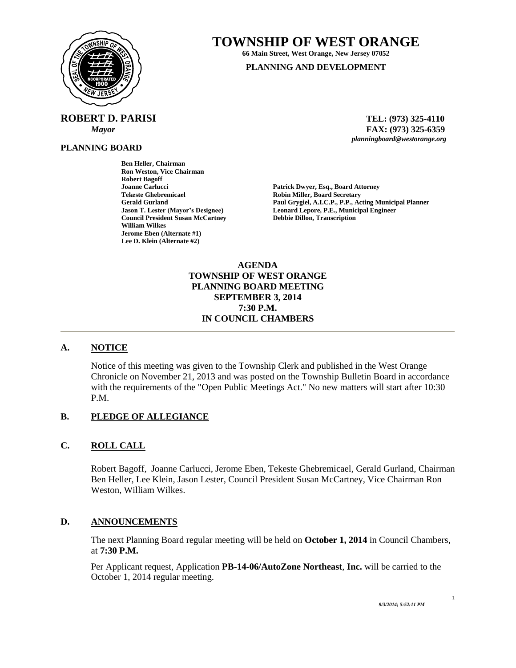

# **TOWNSHIP OF WEST ORANGE**

**66 Main Street, West Orange, New Jersey 07052**

#### **PLANNING AND DEVELOPMENT**

 **ROBERT D. PARISI TEL: (973) 325-4110**

**Ben Heller, Chairman Ron Weston, Vice Chairman**

**Robert Bagoff**

**William Wilkes**

**Jerome Eben (Alternate #1) Lee D. Klein (Alternate #2)**

**PLANNING BOARD**

 *Mayor* **FAX: (973) 325-6359** *planningboard@westorange.org*

**Joanne Carlucci Patrick Dwyer, Esq., Board Attorney Robin Miller, Board Secretary Gerald Gurland Paul Grygiel, A.I.C.P., P.P., Acting Municipal Planner** Leonard Lepore, P.E., Municipal Engineer **Council President Susan McCartney Debbie Dillon, Transcription**

> **AGENDA TOWNSHIP OF WEST ORANGE PLANNING BOARD MEETING SEPTEMBER 3, 2014 7:30 P.M. IN COUNCIL CHAMBERS**

# **A. NOTICE**

Notice of this meeting was given to the Township Clerk and published in the West Orange Chronicle on November 21, 2013 and was posted on the Township Bulletin Board in accordance with the requirements of the "Open Public Meetings Act." No new matters will start after 10:30 P.M.

## **B. PLEDGE OF ALLEGIANCE**

## **C. ROLL CALL**

Robert Bagoff, Joanne Carlucci, Jerome Eben, Tekeste Ghebremicael, Gerald Gurland, Chairman Ben Heller, Lee Klein, Jason Lester, Council President Susan McCartney, Vice Chairman Ron Weston, William Wilkes.

## **D. ANNOUNCEMENTS**

The next Planning Board regular meeting will be held on **October 1, 2014** in Council Chambers, at **7:30 P.M.**

Per Applicant request, Application **PB-14-06/AutoZone Northeast**, **Inc.** will be carried to the October 1, 2014 regular meeting.

1